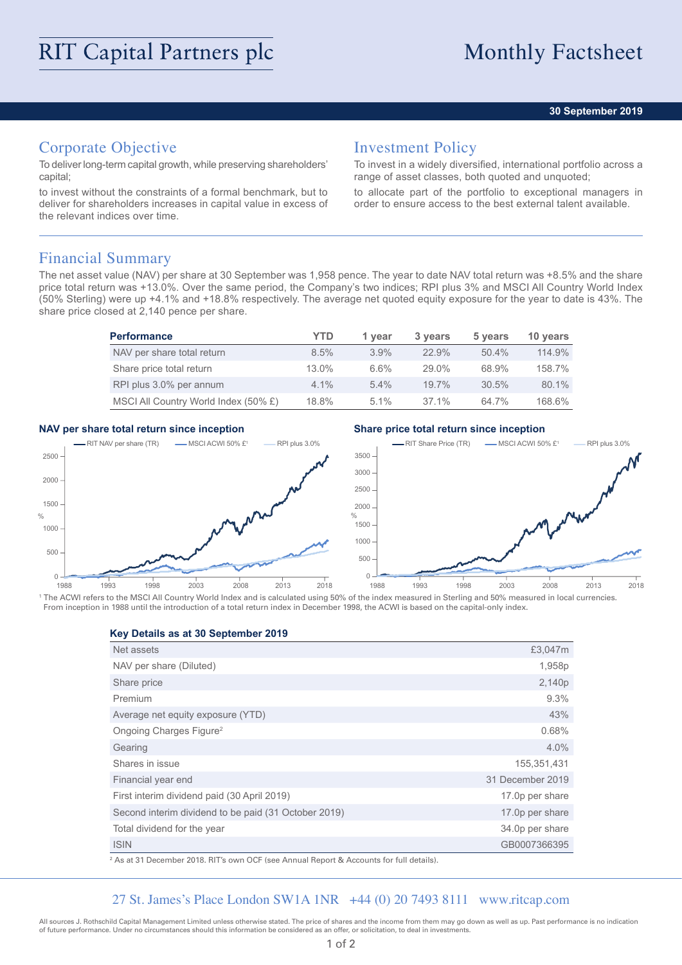#### **30 September 2019**

# Corporate Objective

To deliver long-term capital growth, while preserving shareholders' capital;

to invest without the constraints of a formal benchmark, but to deliver for shareholders increases in capital value in excess of the relevant indices over time.

### Investment Policy

To invest in a widely diversified, international portfolio across a range of asset classes, both quoted and unquoted;

to allocate part of the portfolio to exceptional managers in order to ensure access to the best external talent available.

### Financial Summary

The net asset value (NAV) per share at 30 September was 1,958 pence. The year to date NAV total return was +8.5% and the share price total return was +13.0%. Over the same period, the Company's two indices; RPI plus 3% and MSCI All Country World Index (50% Sterling) were up +4.1% and +18.8% respectively. The average net quoted equity exposure for the year to date is 43%. The share price closed at 2,140 pence per share.

| <b>Performance</b>                   | YTD      | 1 vear  | 3 years  | 5 years  | 10 years |
|--------------------------------------|----------|---------|----------|----------|----------|
| NAV per share total return           | $8.5\%$  | 3.9%    | 22.9%    | $50.4\%$ | 114.9%   |
| Share price total return             | $13.0\%$ | 6.6%    | $29.0\%$ | 68.9%    | 158.7%   |
| RPI plus 3.0% per annum              | $4.1\%$  | $5.4\%$ | $19.7\%$ | 30.5%    | 80.1%    |
| MSCI All Country World Index (50% £) | 18.8%    | $5.1\%$ | 37.1%    | 64.7%    | 168.6%   |

#### **NAV per share total return since inception Share price total return since inception**



<sup>1</sup> The ACWI refers to the MSCI All Country World Index and is calculated using 50% of the index measured in Sterling and 50% measured in local currencies. From inception in 1988 until the introduction of a total return index in December 1998, the ACWI is based on the capital-only index.

#### **Key Details as at 30 September 2019**

| £3,047m            |
|--------------------|
| 1,958p             |
| 2,140 <sub>p</sub> |
| 9.3%               |
| 43%                |
| 0.68%              |
| 4.0%               |
| 155,351,431        |
| 31 December 2019   |
| 17.0p per share    |
| 17.0p per share    |
| 34.0p per share    |
| GB0007366395       |
|                    |

2 As at 31 December 2018. RIT's own OCF (see Annual Report & Accounts for full details).

#### 27 St. James's Place London SW1A 1NR +44 (0) 20 7493 8111 www.ritcap.com

All sources J. Rothschild Capital Management Limited unless otherwise stated. The price of shares and the income from them may go down as well as up. Past performance is no indication of future performance. Under no circumstances should this information be considered as an offer, or solicitation, to deal in investments.